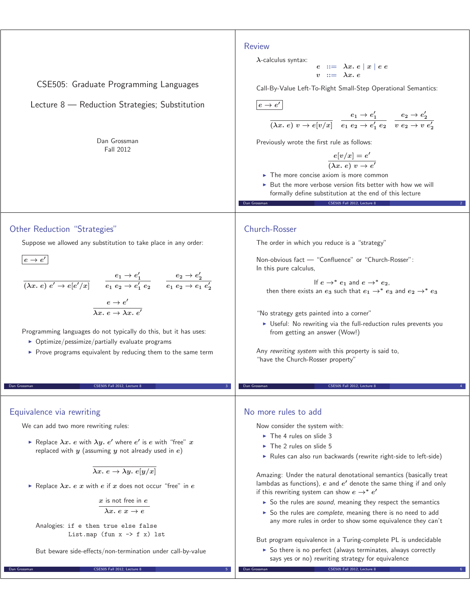#### Review

CSE505: Graduate Programming Languages

# Lecture 8 — Reduction Strategies; Substitution

Dan Grossman Fall 2012

$$
\begin{array}{rcl}\n\lambda\text{-calculus syntax:} \\
e & ::= & \lambda x. e \mid x \mid e e \\
v & ::= & \lambda x. e\n\end{array}
$$

Call-By-Value Left-To-Right Small-Step Operational Semantics:

 $e \rightarrow e'$ 

$$
\frac{e_1 \to e_1'}{(\lambda x. e) v \to e[v/x]} \quad \frac{e_1 \to e_1'}{e_1 e_2 \to e_1' e_2} \quad \frac{e_2 \to e_2'}{v e_2 \to v e_2'}
$$

Previously wrote the first rule as follows:

$$
\frac{e[v/x] = e'}{(\lambda x. e) v \to e'}
$$

- $\blacktriangleright$  The more concise axiom is more common
- - But the more verbose version fits better with how we will formally define substitution at the end of this lecture

CSE505 Fall 2012, Lecture 8

### Other Reduction "Strategies"

Suppose we allowed any substitution to take place in any order:

 $e \rightarrow e'$ 

#### $(\lambda x. e) e' \rightarrow e[e'/x]$  $e_1 \rightarrow e'_1$  $e_1 e_2 \to e'_1 e_2$  $e_2 \rightarrow e'_2$  $e_1 e_2 \to e_1 e'_2$  $e \rightarrow e'$ *λx. e → λx. e-*

Programming languages do not typically do this, but it has uses:

- Optimize/pessimize/partially evaluate programs
- **Prove programs equivalent by reducing them to the same term**

CSE505 Fall 2012, Lecture 8

### Equivalence via rewriting

We can add two more rewriting rules:

 $\blacktriangleright$  Replace  $\lambda x.$   $e$  with  $\lambda y.$   $e'$  where  $e'$  is  $e$  with "free"  $x$ replaced with *y* (assuming *y* not already used in *e*)

 $\overline{\lambda x.\ e \rightarrow \lambda y.\ e[y/x]}$ 

- Replace *λx. e x* with *e* if *x* does not occur "free" in *e*

*x* is not free in *e*  $\lambda x. e x \rightarrow e$ 

Analogies: if e then true else false List.map (fun  $x \rightarrow f(x)$  lst

But beware side-effects/non-termination under call-by-value

Dan Grossman CSE505 Fall 2012, Lecture 8 5

# Church-Rosser

The order in which you reduce is a "strategy"

Non-obvious fact — "Confluence" or "Church-Rosser": In this pure calculus,

If  $e \rightarrow^* e_1$  and  $e \rightarrow^* e_2$ , then there exists an  $e_3$  such that  $e_1 \rightarrow^* e_3$  and  $e_2 \rightarrow^* e_3$ 

"No strategy gets painted into a corner"

- Useful: No rewriting via the full-reduction rules prevents you from getting an answer (Wow!)

CSE505 Fall 2012, Lecture 8

Any rewriting system with this property is said to, "have the Church-Rosser property"

### No more rules to add

Now consider the system with:

- The 4 rules on slide 3
- The 2 rules on slide 5
- Rules can also run backwards (rewrite right-side to left-side)

Amazing: Under the natural denotational semantics (basically treat lambdas as functions),  $e$  and  $e'$  denote the same thing if and only if this rewriting system can show  $e \rightarrow^* e'$ 

- So the rules are sound, meaning they respect the semantics
- So the rules are *complete*, meaning there is no need to add any more rules in order to show some equivalence they can't

But program equivalence in a Turing-complete PL is undecidable

▶ So there is no perfect (always terminates, always correctly says yes or no) rewriting strategy for equivalence

 $CSE505$  Fall 2012, Lecture 8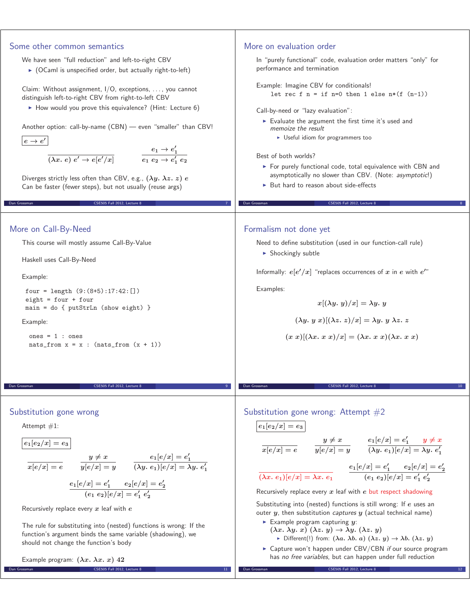| Some other common semantics                                                                                                             | More on evaluation order                                                                                                                                                                |
|-----------------------------------------------------------------------------------------------------------------------------------------|-----------------------------------------------------------------------------------------------------------------------------------------------------------------------------------------|
| We have seen "full reduction" and left-to-right CBV                                                                                     | In "purely functional" code, evaluation order matters "only" for                                                                                                                        |
| $\triangleright$ (OCaml is unspecified order, but actually right-to-left)                                                               | performance and termination                                                                                                                                                             |
| Claim: Without assignment, I/O, exceptions, , you cannot                                                                                | Example: Imagine CBV for conditionals!                                                                                                                                                  |
| distinguish left-to-right CBV from right-to-left CBV                                                                                    | let rec f $n = if n=0 then 1 else n*(f (n-1))$                                                                                                                                          |
| How would you prove this equivalence? (Hint: Lecture 6)                                                                                 | Call-by-need or "lazy evaluation":                                                                                                                                                      |
| Another option: call-by-name (CBN) - even "smaller" than CBV!                                                                           | Evaluate the argument the first time it's used and                                                                                                                                      |
|                                                                                                                                         | memoize the result<br>• Useful idiom for programmers too                                                                                                                                |
| $e \rightarrow e'$                                                                                                                      |                                                                                                                                                                                         |
| $\overline{(\lambda x.\ e)\ e'\rightarrow e[e'/x]} \qquad \qquad \overline{e_1\ e_2\rightarrow e'_1\ e_2}$                              | Best of both worlds?                                                                                                                                                                    |
|                                                                                                                                         | For purely functional code, total equivalence with CBN and<br>asymptotically no slower than CBV. (Note: asymptotic!)                                                                    |
| Diverges strictly less often than CBV, e.g., $(\lambda y. \lambda z. z) e$<br>Can be faster (fewer steps), but not usually (reuse args) | ► But hard to reason about side-effects                                                                                                                                                 |
|                                                                                                                                         |                                                                                                                                                                                         |
| CSE505 Fall 2012, Lecture 8<br>Dan Grossman                                                                                             | Dan Grossman<br>CSE505 Fall 2012, Lecture 8                                                                                                                                             |
|                                                                                                                                         |                                                                                                                                                                                         |
| More on Call-By-Need                                                                                                                    | Formalism not done yet                                                                                                                                                                  |
| This course will mostly assume Call-By-Value                                                                                            | Need to define substitution (used in our function-call rule)                                                                                                                            |
| Haskell uses Call-By-Need                                                                                                               | Shockingly subtle                                                                                                                                                                       |
| Example:                                                                                                                                | Informally: $e[e'/x]$ "replaces occurrences of x in e with $e''$ "                                                                                                                      |
| four = length $(9:(8+5):17:42:[)$                                                                                                       | Examples:                                                                                                                                                                               |
| eight = $four + four$                                                                                                                   | $x[(\lambda y. y)/x] = \lambda y. y$                                                                                                                                                    |
| $main = do { putStrLn (show eight) }$                                                                                                   | $(\lambda y. y x)[(\lambda z. z)/x] = \lambda y. y \lambda z. z$                                                                                                                        |
| Example:                                                                                                                                |                                                                                                                                                                                         |
| ones = $1:$ ones<br>$nats_from x = x : (nats_from (x + 1))$                                                                             | $(x x)[(\lambda x. x x)/x] = (\lambda x. x x)(\lambda x. x x)$                                                                                                                          |
|                                                                                                                                         |                                                                                                                                                                                         |
|                                                                                                                                         |                                                                                                                                                                                         |
|                                                                                                                                         |                                                                                                                                                                                         |
| Dan Grossman<br>CSE505 Fall 2012, Lecture 8                                                                                             | Dan Grossman<br>CSE505 Fall 2012. Lecture 8                                                                                                                                             |
|                                                                                                                                         |                                                                                                                                                                                         |
| Substitution gone wrong                                                                                                                 | Substitution gone wrong: Attempt $#2$                                                                                                                                                   |
| Attempt $#1$ :                                                                                                                          | $e_1[e_2/x] = e_3$                                                                                                                                                                      |
| $e_1[e_2/x] = e_3$                                                                                                                      | $\frac{y \neq x}{x[e/x] = e}$ $\frac{y \neq x}{y[e/x] = y}$ $\frac{e_1[e/x] = e'_1}{(\lambda y. e_1)[e/x] = \lambda y. e'_1}$                                                           |
|                                                                                                                                         |                                                                                                                                                                                         |
| $\frac{y \neq x}{x[e/x] = e}$ $\frac{y \neq x}{y[e/x] = y}$ $\frac{e_1[e/x] = e'_1}{(\lambda y. e_1)[e/x] = \lambda y. e'_1}$           | $\frac{e_1[e/x] = e'_1}{(\lambda x.\ e_1)[e/x] = \lambda x.\ e_1} \qquad \frac{e_1[e/x] = e'_1}{(e_1\ e_2)[e/x] = e'_1\ e'_2}$                                                          |
|                                                                                                                                         |                                                                                                                                                                                         |
| $\frac{e_1[e/x] = e_1'}{(e_1 \ e_2)[e/x] = e_2'[e/x] = e_2'}$                                                                           | Recursively replace every $x$ leaf with $e$ but respect shadowing                                                                                                                       |
| Recursively replace every $x$ leaf with $e$                                                                                             | Substituting into (nested) functions is still wrong: If e uses an<br>outer $y$ , then substitution <i>captures</i> $y$ (actual technical name)                                          |
| The rule for substituting into (nested) functions is wrong: If the                                                                      | Example program capturing $y$ :                                                                                                                                                         |
| function's argument binds the same variable (shadowing), we                                                                             | $(\lambda x. \lambda y. x) (\lambda z. y) \rightarrow \lambda y. (\lambda z. y)$<br>Different(!) from: $(\lambda a. \lambda b. a) (\lambda z. y) \rightarrow \lambda b. (\lambda z. y)$ |
| should not change the function's body                                                                                                   | $\triangleright$ Capture won't happen under CBV/CBN if our source program                                                                                                               |
| Example program: $(\lambda x. \lambda x. x)$ 42                                                                                         | has no free variables, but can happen under full reduction                                                                                                                              |
| CSE505 Fall 2012, Lecture 8<br>Dan Grossman<br>11                                                                                       | CSE505 Fall 2012, Lecture 8<br>Dan Grossman                                                                                                                                             |
|                                                                                                                                         |                                                                                                                                                                                         |
|                                                                                                                                         |                                                                                                                                                                                         |